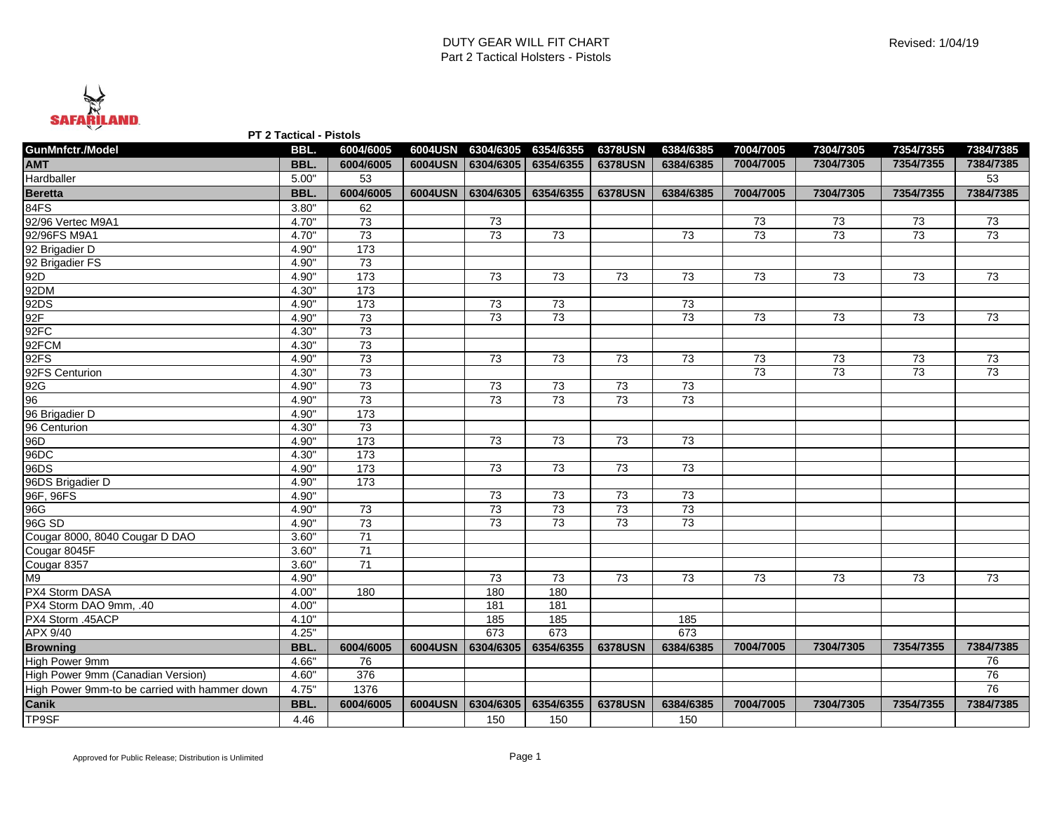

**PT 2 Tactical - Pistols**

| GunMnfctr./Model                              | BBL.  | 6004/6005       |         |                   | 6004USN 6304/6305 6354/6355 | <b>6378USN</b> | 6384/6385       | 7004/7005       | 7304/7305       | 7354/7355       | 7384/7385 |
|-----------------------------------------------|-------|-----------------|---------|-------------------|-----------------------------|----------------|-----------------|-----------------|-----------------|-----------------|-----------|
| <b>AMT</b>                                    | BBL.  | 6004/6005       |         | 6004USN 6304/6305 | 6354/6355                   | <b>6378USN</b> | 6384/6385       | 7004/7005       | 7304/7305       | 7354/7355       | 7384/7385 |
| Hardballer                                    | 5.00" | 53              |         |                   |                             |                |                 |                 |                 |                 | 53        |
| <b>Beretta</b>                                | BBL.  | 6004/6005       |         |                   | 6004USN 6304/6305 6354/6355 | <b>6378USN</b> | 6384/6385       | 7004/7005       | 7304/7305       | 7354/7355       | 7384/7385 |
| 84FS                                          | 3.80" | 62              |         |                   |                             |                |                 |                 |                 |                 |           |
| 92/96 Vertec M9A1                             | 4.70" | 73              |         | 73                |                             |                |                 | 73              | 73              | 73              | 73        |
| 92/96FS M9A1                                  | 4.70" | 73              |         | 73                | 73                          |                | 73              | 73              | 73              | 73              | 73        |
| 92 Brigadier D                                | 4.90" | $\frac{1}{173}$ |         |                   |                             |                |                 |                 |                 |                 |           |
| 92 Brigadier FS                               | 4.90" | 73              |         |                   |                             |                |                 |                 |                 |                 |           |
| 92D                                           | 4.90" | 173             |         | 73                | 73                          | 73             | 73              | 73              | 73              | 73              | 73        |
| 92DM                                          | 4.30" | 173             |         |                   |                             |                |                 |                 |                 |                 |           |
| 92DS                                          | 4.90" | $\frac{1}{173}$ |         | 73                | 73                          |                | 73              |                 |                 |                 |           |
| 92F                                           | 4.90" | 73              |         | 73                | $\overline{73}$             |                | 73              | 73              | 73              | 73              | 73        |
| 92FC                                          | 4.30" | 73              |         |                   |                             |                |                 |                 |                 |                 |           |
| 92FCM                                         | 4.30" | 73              |         |                   |                             |                |                 |                 |                 |                 |           |
| 92FS                                          | 4.90" | 73              |         | 73                | 73                          | 73             | 73              | 73              | 73              | 73              | 73        |
| 92FS Centurion                                | 4.30" | 73              |         |                   |                             |                |                 | $\overline{73}$ | $\overline{73}$ | $\overline{73}$ | 73        |
| 92G                                           | 4.90" | 73              |         | 73                | 73                          | 73             | 73              |                 |                 |                 |           |
| 96                                            | 4.90" | 73              |         | $\overline{73}$   | $\overline{73}$             | 73             | 73              |                 |                 |                 |           |
| 96 Brigadier D                                | 4.90" | 173             |         |                   |                             |                |                 |                 |                 |                 |           |
| 96 Centurion                                  | 4.30" | 73              |         |                   |                             |                |                 |                 |                 |                 |           |
| 96D                                           | 4.90" | 173             |         | 73                | 73                          | 73             | 73              |                 |                 |                 |           |
| 96DC                                          | 4.30" | 173             |         |                   |                             |                |                 |                 |                 |                 |           |
| 96DS                                          | 4.90" | $\frac{1}{173}$ |         | 73                | 73                          | 73             | 73              |                 |                 |                 |           |
| 96DS Brigadier D                              | 4.90" | 173             |         |                   |                             |                |                 |                 |                 |                 |           |
| 96F, 96FS                                     | 4.90" |                 |         | 73                | 73                          | 73             | 73              |                 |                 |                 |           |
| 96G                                           | 4.90" | 73              |         | 73                | 73                          | 73             | 73              |                 |                 |                 |           |
| 96G SD                                        | 4.90" | $\overline{73}$ |         | 73                | 73                          | 73             | $\overline{73}$ |                 |                 |                 |           |
| Cougar 8000, 8040 Cougar D DAO                | 3.60" | 71              |         |                   |                             |                |                 |                 |                 |                 |           |
| Cougar 8045F                                  | 3.60" | 71              |         |                   |                             |                |                 |                 |                 |                 |           |
| Cougar 8357                                   | 3.60" | 71              |         |                   |                             |                |                 |                 |                 |                 |           |
| M9                                            | 4.90" |                 |         | 73                | 73                          | 73             | 73              | 73              | 73              | 73              | 73        |
| PX4 Storm DASA                                | 4.00" | 180             |         | 180               | 180                         |                |                 |                 |                 |                 |           |
| PX4 Storm DAO 9mm, .40                        | 4.00" |                 |         | 181               | 181                         |                |                 |                 |                 |                 |           |
| PX4 Storm .45ACP                              | 4.10" |                 |         | 185               | 185                         |                | 185             |                 |                 |                 |           |
| APX 9/40                                      | 4.25" |                 |         | 673               | 673                         |                | 673             |                 |                 |                 |           |
| <b>Browning</b>                               | BBL.  | 6004/6005       |         | 6004USN 6304/6305 | 6354/6355                   | <b>6378USN</b> | 6384/6385       | 7004/7005       | 7304/7305       | 7354/7355       | 7384/7385 |
| High Power 9mm                                | 4.66" | 76              |         |                   |                             |                |                 |                 |                 |                 | 76        |
| High Power 9mm (Canadian Version)             | 4.60" | 376             |         |                   |                             |                |                 |                 |                 |                 | 76        |
| High Power 9mm-to be carried with hammer down | 4.75" | 1376            |         |                   |                             |                |                 |                 |                 |                 | 76        |
| Canik                                         | BBL.  | 6004/6005       | 6004USN | 6304/6305         | 6354/6355                   | <b>6378USN</b> | 6384/6385       | 7004/7005       | 7304/7305       | 7354/7355       | 7384/7385 |
| <b>TP9SF</b>                                  | 4.46  |                 |         | 150               | 150                         |                | 150             |                 |                 |                 |           |
|                                               |       |                 |         |                   |                             |                |                 |                 |                 |                 |           |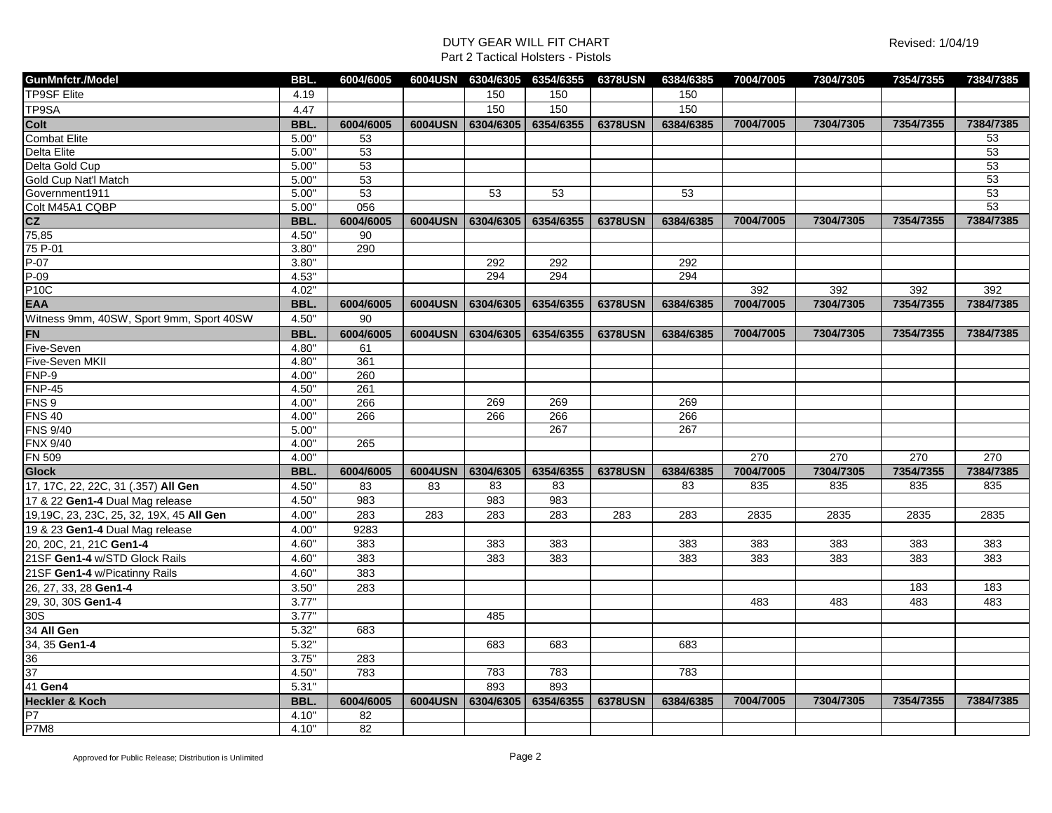| <b>TP9SF Elite</b><br>150<br>150<br>150<br>4.19<br>TP9SA<br>4.47<br>150<br>150<br>150<br>Colt<br>BBL.<br>6004/6005<br>6304/6305<br>6354/6355<br><b>6378USN</b><br>6384/6385<br>6004USN<br>7004/7005<br>7304/7305<br>7354/7355<br><b>Combat Elite</b><br>5.00"<br>53<br><b>Delta Elite</b><br>$\overline{53}$<br>5.00" | 7384/7385<br>53<br>53<br>53<br>53<br>53<br>53 |
|-----------------------------------------------------------------------------------------------------------------------------------------------------------------------------------------------------------------------------------------------------------------------------------------------------------------------|-----------------------------------------------|
|                                                                                                                                                                                                                                                                                                                       |                                               |
|                                                                                                                                                                                                                                                                                                                       |                                               |
|                                                                                                                                                                                                                                                                                                                       |                                               |
|                                                                                                                                                                                                                                                                                                                       |                                               |
|                                                                                                                                                                                                                                                                                                                       |                                               |
| 5.00"<br>$\overline{53}$<br>Delta Gold Cup                                                                                                                                                                                                                                                                            |                                               |
| Gold Cup Nat'l Match<br>5.00"<br>$\overline{53}$                                                                                                                                                                                                                                                                      |                                               |
| 53<br>Government1911<br>5.00"<br>53<br>53<br>53                                                                                                                                                                                                                                                                       |                                               |
| Colt M45A1 CQBP<br>056<br>5.00"                                                                                                                                                                                                                                                                                       |                                               |
| $\frac{\mathsf{CZ}}{75,85}$<br>6004/6005<br>6004USN 6304/6305 6354/6355<br>7004/7005<br>7304/7305<br>7354/7355<br>BBL.<br><b>6378USN</b><br>6384/6385                                                                                                                                                                 | 7384/7385                                     |
| 4.50"<br>90                                                                                                                                                                                                                                                                                                           |                                               |
| 75 P-01<br>3.80"<br>290                                                                                                                                                                                                                                                                                               |                                               |
| $P-07$<br>292<br>292<br>292<br>3.80"                                                                                                                                                                                                                                                                                  |                                               |
| $P-09$<br>294<br>294<br>4.53"<br>294                                                                                                                                                                                                                                                                                  |                                               |
| <b>P10C</b><br>392<br>392<br>4.02"<br>392                                                                                                                                                                                                                                                                             | 392                                           |
| <b>EAA</b><br>BBL.<br>6004USN<br>6304/6305<br>6354/6355<br><b>6378USN</b><br>6384/6385<br>7004/7005<br>7304/7305<br>7354/7355<br>6004/6005                                                                                                                                                                            | 7384/7385                                     |
| Witness 9mm, 40SW, Sport 9mm, Sport 40SW<br>4.50"<br>90                                                                                                                                                                                                                                                               |                                               |
| <b>FN</b><br>7354/7355<br>BBL.<br>6004/6005<br>6004USN<br>6304/6305<br>6354/6355<br><b>6378USN</b><br>7004/7005<br>7304/7305<br>6384/6385                                                                                                                                                                             | 7384/7385                                     |
| Five-Seven<br>4.80"<br>61                                                                                                                                                                                                                                                                                             |                                               |
| Five-Seven MKII<br>4.80"<br>361                                                                                                                                                                                                                                                                                       |                                               |
| FNP-9<br>260<br>4.00"                                                                                                                                                                                                                                                                                                 |                                               |
| $FNP-45$<br>4.50"<br>261                                                                                                                                                                                                                                                                                              |                                               |
| FNS <sub>9</sub><br>269<br>269<br>269<br>4.00"<br>266                                                                                                                                                                                                                                                                 |                                               |
| <b>FNS 40</b><br>266<br>266<br>4.00"<br>266<br>266                                                                                                                                                                                                                                                                    |                                               |
| <b>FNS 9/40</b><br>267<br>267<br>5.00"                                                                                                                                                                                                                                                                                |                                               |
| <b>FNX 9/40</b><br>4.00"<br>265                                                                                                                                                                                                                                                                                       |                                               |
| <b>FN 509</b><br>270<br>4.00"<br>270<br>270                                                                                                                                                                                                                                                                           | 270                                           |
| 7004/7005<br>7304/7305<br>7354/7355<br>BBL.<br>6004/6005<br>6004USN 6304/6305<br>6354/6355<br><b>6378USN</b><br>6384/6385<br><b>Glock</b>                                                                                                                                                                             | 7384/7385                                     |
| 17, 17C, 22, 22C, 31 (.357) All Gen<br>4.50"<br>83<br>83<br>83<br>835<br>835<br>835<br>83<br>83                                                                                                                                                                                                                       | 835                                           |
| 983<br>983<br>17 & 22 Gen1-4 Dual Mag release<br>4.50"<br>983                                                                                                                                                                                                                                                         |                                               |
| 283<br>283<br>19,19C, 23, 23C, 25, 32, 19X, 45 All Gen<br>4.00"<br>283<br>283<br>283<br>283<br>2835<br>2835<br>2835                                                                                                                                                                                                   | 2835                                          |
| 9283<br>19 & 23 Gen1-4 Dual Mag release<br>4.00"                                                                                                                                                                                                                                                                      |                                               |
| 4.60"<br>383<br>383<br>20, 20C, 21, 21C Gen1-4<br>383<br>383<br>383<br>383<br>383                                                                                                                                                                                                                                     | 383                                           |
| 4.60"<br>21SF Gen1-4 w/STD Glock Rails<br>383<br>383<br>383<br>383<br>383<br>383<br>383                                                                                                                                                                                                                               | 383                                           |
| 383<br>21SF Gen1-4 w/Picatinny Rails<br>4.60"                                                                                                                                                                                                                                                                         |                                               |
| 3.50"<br>283<br>26, 27, 33, 28 Gen1-4<br>183                                                                                                                                                                                                                                                                          | 183                                           |
| 29, 30, 30S Gen1-4<br>3.77"<br>483<br>483<br>483                                                                                                                                                                                                                                                                      | 483                                           |
| 30S<br>485<br>3.77"                                                                                                                                                                                                                                                                                                   |                                               |
| 34 All Gen<br>5.32"<br>683                                                                                                                                                                                                                                                                                            |                                               |
| 34, 35 Gen1-4<br>5.32"<br>683<br>683<br>683                                                                                                                                                                                                                                                                           |                                               |
| 3.75"<br>283                                                                                                                                                                                                                                                                                                          |                                               |
| $\frac{36}{37}$<br>783<br>4.50"<br>783<br>783<br>783                                                                                                                                                                                                                                                                  |                                               |
| 41 Gen4<br>5.31"<br>893<br>893                                                                                                                                                                                                                                                                                        |                                               |
| <b>Heckler &amp; Koch</b><br>BBL.<br>6304/6305<br>6354/6355<br>7004/7005<br>7304/7305<br>7354/7355<br>6004/6005<br>6004USN<br><b>6378USN</b><br>6384/6385                                                                                                                                                             | 7384/7385                                     |
| $\overline{P7}$<br>4.10"<br>82                                                                                                                                                                                                                                                                                        |                                               |
| <b>P7M8</b><br>4.10"<br>$\overline{82}$                                                                                                                                                                                                                                                                               |                                               |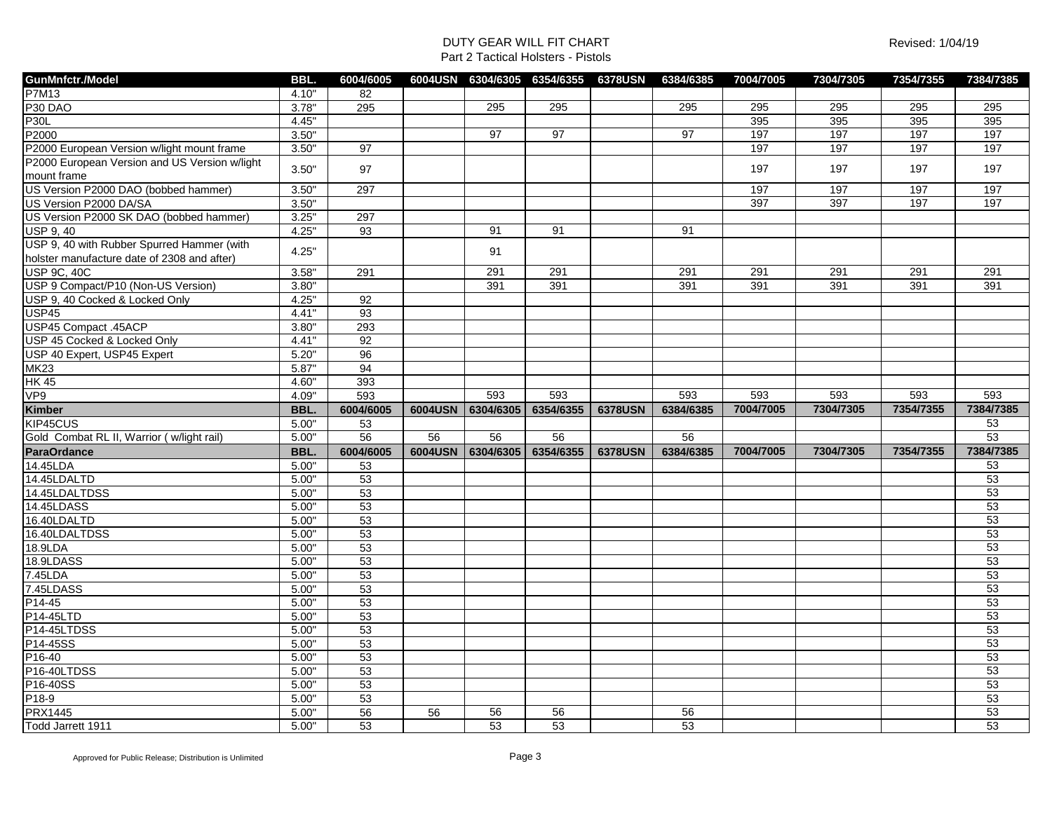| GunMnfctr./Model                              | <b>BBL</b> | 6004/6005 | 6004USN | 6304/6305 | 6354/6355 | <b>6378USN</b> | 6384/6385 | 7004/7005 | 7304/7305 | 7354/7355 | 7384/7385 |
|-----------------------------------------------|------------|-----------|---------|-----------|-----------|----------------|-----------|-----------|-----------|-----------|-----------|
| <b>P7M13</b>                                  | 4.10"      | 82        |         |           |           |                |           |           |           |           |           |
| P <sub>30</sub> D <sub>AO</sub>               | 3.78"      | 295       |         | 295       | 295       |                | 295       | 295       | 295       | 295       | 295       |
| P30L                                          | 4.45"      |           |         |           |           |                |           | 395       | 395       | 395       | 395       |
| P2000                                         | 3.50"      |           |         | 97        | 97        |                | 97        | 197       | 197       | 197       | 197       |
| P2000 European Version w/light mount frame    | 3.50"      | 97        |         |           |           |                |           | 197       | 197       | 197       | 197       |
| P2000 European Version and US Version w/light |            |           |         |           |           |                |           |           |           |           |           |
| mount frame                                   | 3.50"      | 97        |         |           |           |                |           | 197       | 197       | 197       | 197       |
| US Version P2000 DAO (bobbed hammer)          | 3.50"      | 297       |         |           |           |                |           | 197       | 197       | 197       | 197       |
| US Version P2000 DA/SA                        | 3.50"      |           |         |           |           |                |           | 397       | 397       | 197       | 197       |
| US Version P2000 SK DAO (bobbed hammer)       | 3.25"      | 297       |         |           |           |                |           |           |           |           |           |
| <b>USP 9, 40</b>                              | 4.25"      | 93        |         | 91        | 91        |                | 91        |           |           |           |           |
| USP 9, 40 with Rubber Spurred Hammer (with    |            |           |         |           |           |                |           |           |           |           |           |
| holster manufacture date of 2308 and after)   | 4.25"      |           |         | 91        |           |                |           |           |           |           |           |
| <b>USP 9C, 40C</b>                            | 3.58"      | 291       |         | 291       | 291       |                | 291       | 291       | 291       | 291       | 291       |
| USP 9 Compact/P10 (Non-US Version)            | 3.80"      |           |         | 391       | 391       |                | 391       | 391       | 391       | 391       | 391       |
| USP 9, 40 Cocked & Locked Only                | 4.25"      | 92        |         |           |           |                |           |           |           |           |           |
| <b>USP45</b>                                  | 4.41"      | 93        |         |           |           |                |           |           |           |           |           |
| USP45 Compact .45ACP                          | 3.80"      | 293       |         |           |           |                |           |           |           |           |           |
| USP 45 Cocked & Locked Only                   | 4.41"      | 92        |         |           |           |                |           |           |           |           |           |
| USP 40 Expert, USP45 Expert                   | 5.20"      | 96        |         |           |           |                |           |           |           |           |           |
| <b>MK23</b>                                   | 5.87"      | 94        |         |           |           |                |           |           |           |           |           |
| <b>HK 45</b>                                  | 4.60"      | 393       |         |           |           |                |           |           |           |           |           |
| VP9                                           | 4.09"      | 593       |         | 593       | 593       |                | 593       | 593       | 593       | 593       | 593       |
| Kimber                                        | <b>BBL</b> | 6004/6005 | 6004USN | 6304/6305 | 6354/6355 | <b>6378USN</b> | 6384/6385 | 7004/7005 | 7304/7305 | 7354/7355 | 7384/7385 |
| KIP45CUS                                      | 5.00"      | 53        |         |           |           |                |           |           |           |           | 53        |
| Gold Combat RL II, Warrior (w/light rail)     | 5.00"      | 56        | 56      | 56        | 56        |                | 56        |           |           |           | 53        |
| <b>ParaOrdance</b>                            | BBL.       | 6004/6005 | 6004USN | 6304/6305 | 6354/6355 | <b>6378USN</b> | 6384/6385 | 7004/7005 | 7304/7305 | 7354/7355 | 7384/7385 |
| 14.45LDA                                      | 5.00"      | 53        |         |           |           |                |           |           |           |           | 53        |
| 14.45LDALTD                                   | 5.00"      | 53        |         |           |           |                |           |           |           |           | 53        |
| 14.45LDALTDSS                                 | 5.00"      | 53        |         |           |           |                |           |           |           |           | 53        |
| 14.45LDASS                                    | 5.00"      | 53        |         |           |           |                |           |           |           |           | 53        |
| 16.40LDALTD                                   | 5.00"      | 53        |         |           |           |                |           |           |           |           | 53        |
| 16.40LDALTDSS                                 | 5.00"      | 53        |         |           |           |                |           |           |           |           | 53        |
| 18.9LDA                                       | 5.00"      | 53        |         |           |           |                |           |           |           |           | 53        |
| 18.9LDASS                                     | 5.00"      | 53        |         |           |           |                |           |           |           |           | 53        |
| 7.45LDA                                       | 5.00"      | 53        |         |           |           |                |           |           |           |           | 53        |
| 7.45LDASS                                     | 5.00"      | 53        |         |           |           |                |           |           |           |           | 53        |
| P14-45                                        | 5.00"      | 53        |         |           |           |                |           |           |           |           | 53        |
| P14-45LTD                                     | 5.00"      | 53        |         |           |           |                |           |           |           |           | 53        |
| P14-45LTDSS                                   | 5.00"      | 53        |         |           |           |                |           |           |           |           | 53        |
| P14-45SS                                      | 5.00"      | 53        |         |           |           |                |           |           |           |           | 53        |
| P16-40                                        | 5.00"      | 53        |         |           |           |                |           |           |           |           | 53        |
| P16-40LTDSS                                   | 5.00"      | 53        |         |           |           |                |           |           |           |           | 53        |
| P16-40SS                                      | 5.00"      | 53        |         |           |           |                |           |           |           |           | 53        |
| $P18-9$                                       | 5.00"      | 53        |         |           |           |                |           |           |           |           | 53        |
| <b>PRX1445</b>                                | 5.00"      | 56        | 56      | 56        | 56        |                | 56        |           |           |           | 53        |
| Todd Jarrett 1911                             | 5.00"      | 53        |         | 53        | 53        |                | 53        |           |           |           | 53        |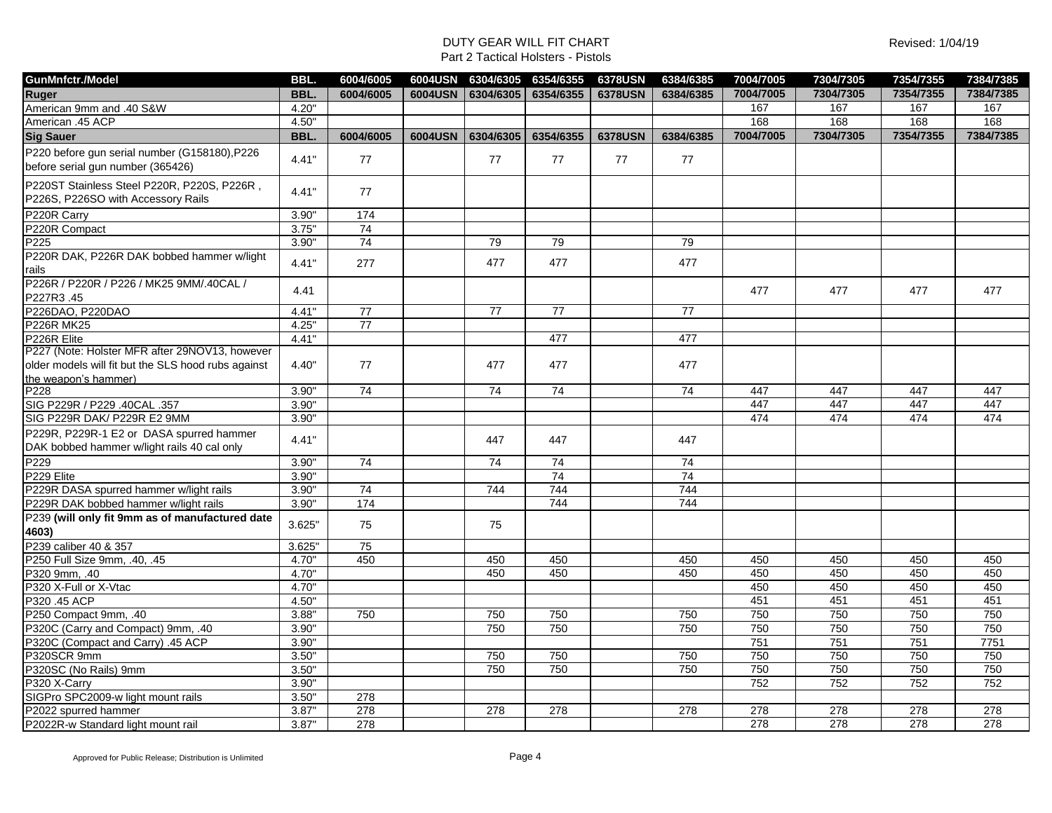| <b>GunMnfctr./Model</b>                                  | BBL.       | 6004/6005       |         | 6004USN 6304/6305 | 6354/6355       | <b>6378USN</b> | 6384/6385       | 7004/7005 | 7304/7305 | 7354/7355 | 7384/7385 |
|----------------------------------------------------------|------------|-----------------|---------|-------------------|-----------------|----------------|-----------------|-----------|-----------|-----------|-----------|
| <b>Ruger</b>                                             | BBL.       | 6004/6005       |         | 6004USN 6304/6305 | 6354/6355       | <b>6378USN</b> | 6384/6385       | 7004/7005 | 7304/7305 | 7354/7355 | 7384/7385 |
| American 9mm and .40 S&W                                 | 4.20"      |                 |         |                   |                 |                |                 | 167       | 167       | 167       | 167       |
| American .45 ACP                                         | 4.50"      |                 |         |                   |                 |                |                 | 168       | 168       | 168       | 168       |
| <b>Sig Sauer</b>                                         | <b>BBL</b> | 6004/6005       | 6004USN | 6304/6305         | 6354/6355       | <b>6378USN</b> | 6384/6385       | 7004/7005 | 7304/7305 | 7354/7355 | 7384/7385 |
| P220 before gun serial number (G158180), P226            |            |                 |         |                   |                 |                |                 |           |           |           |           |
| before serial gun number (365426)                        | 4.41"      | 77              |         | 77                | 77              | 77             | 77              |           |           |           |           |
| P220ST Stainless Steel P220R, P220S, P226R,              |            |                 |         |                   |                 |                |                 |           |           |           |           |
| P226S, P226SO with Accessory Rails                       | 4.41"      | 77              |         |                   |                 |                |                 |           |           |           |           |
| P220R Carry                                              | 3.90"      | 174             |         |                   |                 |                |                 |           |           |           |           |
| P220R Compact                                            | 3.75"      | 74              |         |                   |                 |                |                 |           |           |           |           |
| P <sub>225</sub>                                         | 3.90"      | 74              |         | 79                | 79              |                | 79              |           |           |           |           |
| P220R DAK, P226R DAK bobbed hammer w/light               | 4.41"      | 277             |         | 477               | 477             |                | 477             |           |           |           |           |
| rails                                                    |            |                 |         |                   |                 |                |                 |           |           |           |           |
| P226R / P220R / P226 / MK25 9MM/.40CAL /                 | 4.41       |                 |         |                   |                 |                |                 | 477       | 477       | 477       | 477       |
| P227R3.45                                                |            |                 |         |                   |                 |                |                 |           |           |           |           |
| P226DAO, P220DAO                                         | 4.41"      | 77              |         | 77                | 77              |                | 77              |           |           |           |           |
| <b>P226R MK25</b>                                        | 4.25"      | 77              |         |                   |                 |                |                 |           |           |           |           |
| P226R Elite                                              | 4.41"      |                 |         |                   | 477             |                | 477             |           |           |           |           |
| P227 (Note: Holster MFR after 29NOV13, however           |            |                 |         |                   |                 |                |                 |           |           |           |           |
| older models will fit but the SLS hood rubs against      | 4.40"      | 77              |         | 477               | 477             |                | 477             |           |           |           |           |
| the weapon's hammer)                                     |            |                 |         |                   |                 |                |                 |           |           |           |           |
| P228                                                     | 3.90"      | $\overline{74}$ |         | $\overline{74}$   | $\overline{74}$ |                | $\overline{74}$ | 447       | 447       | 447       | 447       |
| SIG P229R / P229 .40CAL .357                             | 3.90"      |                 |         |                   |                 |                |                 | 447       | 447       | 447       | 447       |
| SIG P229R DAK/ P229R E2 9MM                              | 3.90"      |                 |         |                   |                 |                |                 | 474       | 474       | 474       | 474       |
| P229R, P229R-1 E2 or DASA spurred hammer                 | 4.41"      |                 |         | 447               | 447             |                | 447             |           |           |           |           |
| DAK bobbed hammer w/light rails 40 cal only              |            |                 |         |                   |                 |                |                 |           |           |           |           |
| P <sub>229</sub>                                         | 3.90"      | 74              |         | 74                | 74              |                | 74              |           |           |           |           |
| P229 Elite                                               | 3.90"      |                 |         |                   | 74              |                | 74              |           |           |           |           |
| P229R DASA spurred hammer w/light rails                  | 3.90"      | 74              |         | 744               | 744             |                | 744             |           |           |           |           |
| P229R DAK bobbed hammer w/light rails                    | 3.90"      | 174             |         |                   | 744             |                | 744             |           |           |           |           |
| P239 (will only fit 9mm as of manufactured date<br>4603) | 3.625"     | 75              |         | 75                |                 |                |                 |           |           |           |           |
| P239 caliber 40 & 357                                    | 3.625      | 75              |         |                   |                 |                |                 |           |           |           |           |
| P250 Full Size 9mm, .40, .45                             | 4.70"      | 450             |         | 450               | 450             |                | 450             | 450       | 450       | 450       | 450       |
| P320 9mm, .40                                            | 4.70"      |                 |         | 450               | 450             |                | 450             | 450       | 450       | 450       | 450       |
| P320 X-Full or X-Vtac                                    | 4.70"      |                 |         |                   |                 |                |                 | 450       | 450       | 450       | 450       |
| P320 .45 ACP                                             | 4.50"      |                 |         |                   |                 |                |                 | 451       | 451       | 451       | 451       |
| P250 Compact 9mm, .40                                    | 3.88"      | 750             |         | 750               | 750             |                | 750             | 750       | 750       | 750       | 750       |
| P320C (Carry and Compact) 9mm, .40                       | 3.90"      |                 |         | 750               | 750             |                | 750             | 750       | 750       | 750       | 750       |
| P320C (Compact and Carry) .45 ACP                        | 3.90"      |                 |         |                   |                 |                |                 | 751       | 751       | 751       | 7751      |
| P320SCR 9mm                                              | 3.50"      |                 |         | 750               | 750             |                | 750             | 750       | 750       | 750       | 750       |
| P320SC (No Rails) 9mm                                    | 3.50"      |                 |         | 750               | 750             |                | 750             | 750       | 750       | 750       | 750       |
| P320 X-Carry                                             | 3.90"      |                 |         |                   |                 |                |                 | 752       | 752       | 752       | 752       |
| SIGPro SPC2009-w light mount rails                       | 3.50"      | 278             |         |                   |                 |                |                 |           |           |           |           |
| P2022 spurred hammer                                     | 3.87'      | 278             |         | 278               | 278             |                | 278             | 278       | 278       | 278       | 278       |
| P2022R-w Standard light mount rail                       | 3.87"      | 278             |         |                   |                 |                |                 | 278       | 278       | 278       | 278       |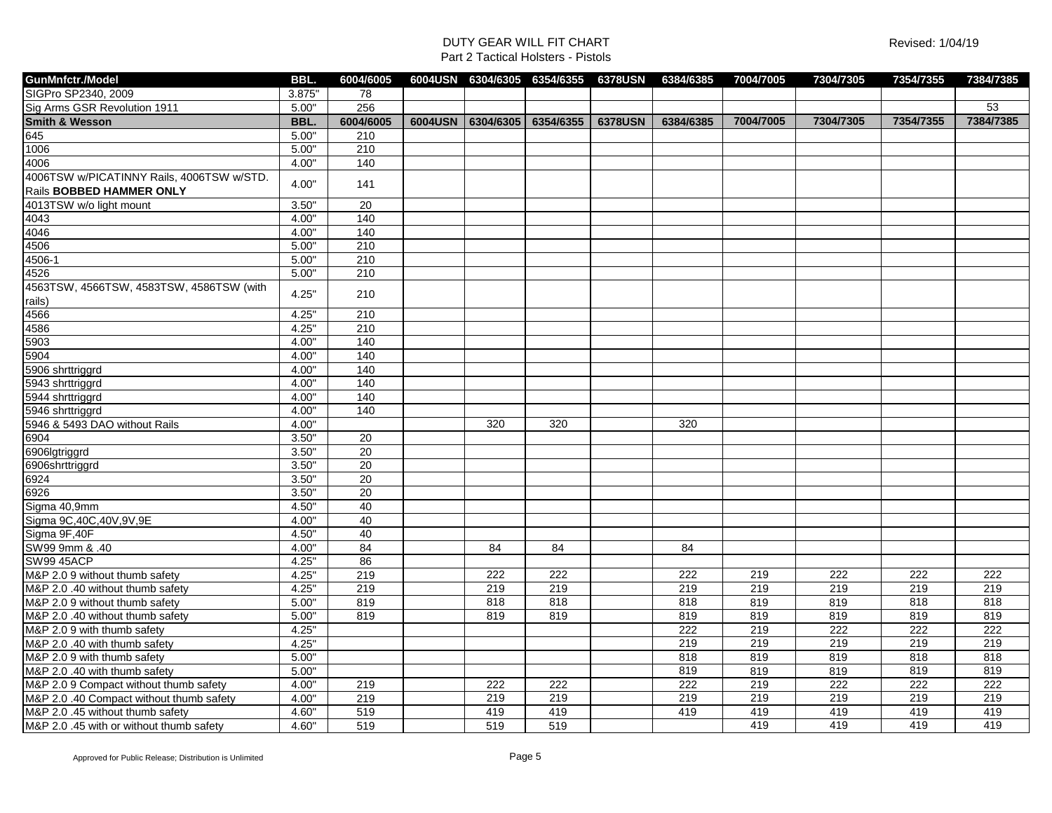| GunMnfctr./Model                          | BBL.   | 6004/6005         |         |           | 6004USN 6304/6305 6354/6355 6378USN |                | 6384/6385 | 7004/7005 | 7304/7305 | 7354/7355 | 7384/7385 |
|-------------------------------------------|--------|-------------------|---------|-----------|-------------------------------------|----------------|-----------|-----------|-----------|-----------|-----------|
| SIGPro SP2340, 2009                       | 3.875" | 78                |         |           |                                     |                |           |           |           |           |           |
| Sig Arms GSR Revolution 1911              | 5.00"  | 256               |         |           |                                     |                |           |           |           |           | 53        |
| <b>Smith &amp; Wesson</b>                 | BBL.   | 6004/6005         | 6004USN | 6304/6305 | 6354/6355                           | <b>6378USN</b> | 6384/6385 | 7004/7005 | 7304/7305 | 7354/7355 | 7384/7385 |
| 645                                       | 5.00"  | 210               |         |           |                                     |                |           |           |           |           |           |
| 1006                                      | 5.00"  | 210               |         |           |                                     |                |           |           |           |           |           |
| 4006                                      | 4.00"  | 140               |         |           |                                     |                |           |           |           |           |           |
| 4006TSW w/PICATINNY Rails, 4006TSW w/STD. |        |                   |         |           |                                     |                |           |           |           |           |           |
| Rails BOBBED HAMMER ONLY                  | 4.00"  | 141               |         |           |                                     |                |           |           |           |           |           |
| 4013TSW w/o light mount                   | 3.50"  | 20                |         |           |                                     |                |           |           |           |           |           |
| 4043                                      | 4.00"  | 140               |         |           |                                     |                |           |           |           |           |           |
| 4046                                      | 4.00"  | 140               |         |           |                                     |                |           |           |           |           |           |
| 4506                                      | 5.00"  | 210               |         |           |                                     |                |           |           |           |           |           |
| 4506-1                                    | 5.00"  | 210               |         |           |                                     |                |           |           |           |           |           |
| 4526                                      | 5.00"  | 210               |         |           |                                     |                |           |           |           |           |           |
| 4563TSW, 4566TSW, 4583TSW, 4586TSW (with  | 4.25"  | 210               |         |           |                                     |                |           |           |           |           |           |
| rails)                                    |        |                   |         |           |                                     |                |           |           |           |           |           |
| 4566                                      | 4.25"  | 210               |         |           |                                     |                |           |           |           |           |           |
| 4586                                      | 4.25"  | 210               |         |           |                                     |                |           |           |           |           |           |
| 5903                                      | 4.00"  | $\frac{140}{140}$ |         |           |                                     |                |           |           |           |           |           |
| 5904                                      | 4.00"  | 140               |         |           |                                     |                |           |           |           |           |           |
| 5906 shrttriggrd                          | 4.00"  | 140               |         |           |                                     |                |           |           |           |           |           |
| 5943 shrttriggrd                          | 4.00"  | 140               |         |           |                                     |                |           |           |           |           |           |
| 5944 shrttriggrd                          | 4.00"  | 140               |         |           |                                     |                |           |           |           |           |           |
| 5946 shrttriggrd                          | 4.00"  | 140               |         |           |                                     |                |           |           |           |           |           |
| 5946 & 5493 DAO without Rails             | 4.00"  |                   |         | 320       | 320                                 |                | 320       |           |           |           |           |
| 6904                                      | 3.50"  | 20                |         |           |                                     |                |           |           |           |           |           |
| 6906lgtriggrd                             | 3.50"  | 20                |         |           |                                     |                |           |           |           |           |           |
| 6906shrttriggrd                           | 3.50"  | 20                |         |           |                                     |                |           |           |           |           |           |
| 6924                                      | 3.50"  | $\overline{20}$   |         |           |                                     |                |           |           |           |           |           |
| 6926                                      | 3.50"  | 20                |         |           |                                     |                |           |           |           |           |           |
| Sigma 40,9mm                              | 4.50"  | 40                |         |           |                                     |                |           |           |           |           |           |
| Sigma 9C, 40C, 40V, 9V, 9E                | 4.00"  | 40                |         |           |                                     |                |           |           |           |           |           |
| Sigma 9F,40F                              | 4.50"  | 40                |         |           |                                     |                |           |           |           |           |           |
| SW99 9mm & .40                            | 4.00"  | 84                |         | 84        | 84                                  |                | 84        |           |           |           |           |
| <b>SW99 45ACP</b>                         | 4.25"  | 86                |         |           |                                     |                |           |           |           |           |           |
| M&P 2.0 9 without thumb safety            | 4.25"  | 219               |         | 222       | 222                                 |                | 222       | 219       | 222       | 222       | 222       |
| M&P 2.0 .40 without thumb safety          | 4.25"  | 219               |         | 219       | 219                                 |                | 219       | 219       | 219       | 219       | 219       |
| M&P 2.0 9 without thumb safety            | 5.00"  | 819               |         | 818       | 818                                 |                | 818       | 819       | 819       | 818       | 818       |
| M&P 2.0 .40 without thumb safety          | 5.00"  | 819               |         | 819       | 819                                 |                | 819       | 819       | 819       | 819       | 819       |
| M&P 2.0 9 with thumb safety               | 4.25"  |                   |         |           |                                     |                | 222       | 219       | 222       | 222       | 222       |
| M&P 2.0 .40 with thumb safety             | 4.25"  |                   |         |           |                                     |                | 219       | 219       | 219       | 219       | 219       |
| M&P 2.0 9 with thumb safety               | 5.00"  |                   |         |           |                                     |                | 818       | 819       | 819       | 818       | 818       |
| M&P 2.0.40 with thumb safety              | 5.00"  |                   |         |           |                                     |                | 819       | 819       | 819       | 819       | 819       |
| M&P 2.0 9 Compact without thumb safety    | 4.00"  | 219               |         | 222       | 222                                 |                | 222       | 219       | 222       | 222       | 222       |
| M&P 2.0 .40 Compact without thumb safety  | 4.00"  | 219               |         | 219       | 219                                 |                | 219       | 219       | 219       | 219       | 219       |
| M&P 2.0 .45 without thumb safety          | 4.60"  | 519               |         | 419       | 419                                 |                | 419       | 419       | 419       | 419       | 419       |
| M&P 2.0 .45 with or without thumb safety  | 4.60"  | 519               |         | 519       | 519                                 |                |           | 419       | 419       | 419       | 419       |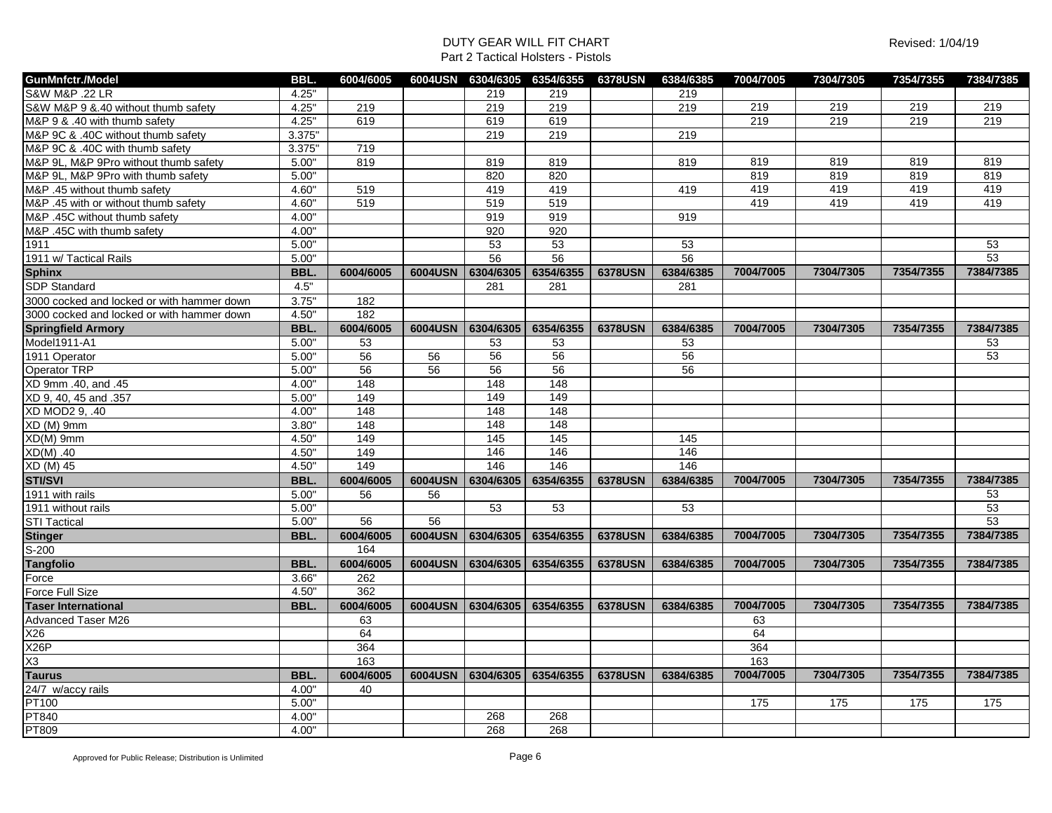| <b>S&amp;W M&amp;P .22 LR</b><br>219<br>4.25"<br>219<br>219<br>S&W M&P 9 & 40 without thumb safety<br>4.25"<br>219<br>219<br>219<br>219<br>219<br>219<br>219<br>219<br>219<br>4.25"<br>619<br>219<br>M&P 9 & .40 with thumb safety<br>619<br>619<br>M&P 9C & .40C without thumb safety<br>3.375"<br>219<br>219<br>219<br>3.375"<br>M&P 9C & .40C with thumb safety<br>719 | 219<br>219 |
|---------------------------------------------------------------------------------------------------------------------------------------------------------------------------------------------------------------------------------------------------------------------------------------------------------------------------------------------------------------------------|------------|
|                                                                                                                                                                                                                                                                                                                                                                           |            |
|                                                                                                                                                                                                                                                                                                                                                                           |            |
|                                                                                                                                                                                                                                                                                                                                                                           |            |
|                                                                                                                                                                                                                                                                                                                                                                           |            |
|                                                                                                                                                                                                                                                                                                                                                                           |            |
| M&P 9L, M&P 9Pro without thumb safety<br>5.00"<br>819<br>819<br>819<br>819<br>819<br>819<br>819                                                                                                                                                                                                                                                                           | 819        |
| 5.00"<br>820<br>819<br>819<br>819<br>M&P 9L, M&P 9Pro with thumb safety<br>820                                                                                                                                                                                                                                                                                            | 819        |
| M&P .45 without thumb safety<br>519<br>419<br>419<br>419<br>4.60"<br>419<br>419<br>419                                                                                                                                                                                                                                                                                    | 419        |
| 419<br>519<br>519<br>519<br>419<br>419<br>M&P .45 with or without thumb safety<br>4.60"                                                                                                                                                                                                                                                                                   | 419        |
| M&P .45C without thumb safety<br>4.00"<br>919<br>919<br>919                                                                                                                                                                                                                                                                                                               |            |
| 4.00"<br>920<br>M&P .45C with thumb safety<br>920                                                                                                                                                                                                                                                                                                                         |            |
| 5.00"<br>53<br>53<br>53<br>1911                                                                                                                                                                                                                                                                                                                                           | 53         |
| 1911 w/ Tactical Rails<br>5.00"<br>56<br>56<br>56                                                                                                                                                                                                                                                                                                                         | 53         |
| <b>Sphinx</b><br>6304/6305<br>6354/6355<br>6384/6385<br>BBL.<br>6004/6005<br>6004USN<br><b>6378USN</b><br>7004/7005<br>7304/7305<br>7354/7355                                                                                                                                                                                                                             | 7384/7385  |
| <b>SDP Standard</b><br>4.5"<br>281<br>281<br>281                                                                                                                                                                                                                                                                                                                          |            |
| 3.75"<br>3000 cocked and locked or with hammer down<br>182                                                                                                                                                                                                                                                                                                                |            |
| 182<br>3000 cocked and locked or with hammer down<br>4.50"                                                                                                                                                                                                                                                                                                                |            |
| <b>Springfield Armory</b><br>7304/7305<br>7354/7355<br>BBL.<br>6004/6005<br>6004USN   6304/6305  <br>6354/6355<br><b>6378USN</b><br>6384/6385<br>7004/7005                                                                                                                                                                                                                | 7384/7385  |
| Model1911-A1<br>5.00"<br>53<br>53<br>53<br>53                                                                                                                                                                                                                                                                                                                             | 53         |
| 56<br>56<br>1911 Operator<br>5.00"<br>56<br>56<br>56                                                                                                                                                                                                                                                                                                                      | 53         |
| 56<br>56<br>Operator TRP<br>56<br>56<br>56<br>5.00"                                                                                                                                                                                                                                                                                                                       |            |
| 148<br>XD 9mm .40, and .45<br>4.00"<br>148<br>148                                                                                                                                                                                                                                                                                                                         |            |
| 149<br>XD 9, 40, 45 and .357<br>5.00"<br>149<br>149                                                                                                                                                                                                                                                                                                                       |            |
| 148<br>148<br>XD MOD2 9, .40<br>4.00"<br>148                                                                                                                                                                                                                                                                                                                              |            |
| 148<br>$XD(M)$ 9mm<br>3.80"<br>148<br>148                                                                                                                                                                                                                                                                                                                                 |            |
| XD(M) 9mm<br>4.50"<br>149<br>145<br>145<br>145                                                                                                                                                                                                                                                                                                                            |            |
| 146<br>146<br>146<br>$XD(M)$ .40<br>4.50"<br>149                                                                                                                                                                                                                                                                                                                          |            |
| 146<br>146<br>146<br>4.50"<br>149<br>XD (M) 45                                                                                                                                                                                                                                                                                                                            |            |
| <b>STI/SVI</b><br>6304/6305<br>6354/6355<br>7304/7305<br>7354/7355<br>BBL.<br>6004/6005<br>6004USN<br><b>6378USN</b><br>6384/6385<br>7004/7005                                                                                                                                                                                                                            | 7384/7385  |
| 1911 with rails<br>5.00"<br>56<br>56                                                                                                                                                                                                                                                                                                                                      | 53         |
| 53<br>53<br>53<br>1911 without rails<br>5.00"                                                                                                                                                                                                                                                                                                                             | 53         |
| <b>STI Tactical</b><br>5.00"<br>56<br>56                                                                                                                                                                                                                                                                                                                                  | 53         |
| 7004/7005<br>7304/7305<br>7354/7355<br><b>Stinger</b><br>6004/6005<br>6004USN<br>6304/6305<br>6354/6355<br><b>6378USN</b><br>BBL.<br>6384/6385                                                                                                                                                                                                                            | 7384/7385  |
| $S-200$<br>164                                                                                                                                                                                                                                                                                                                                                            |            |
| <b>Tangfolio</b><br>BBL.<br>6004/6005<br>6304/6305<br>6354/6355<br><b>6378USN</b><br>6004USN<br>6384/6385<br>7004/7005<br>7304/7305<br>7354/7355                                                                                                                                                                                                                          | 7384/7385  |
| 3.66"<br>262<br>Force                                                                                                                                                                                                                                                                                                                                                     |            |
| 362<br>4.50"<br><b>Force Full Size</b>                                                                                                                                                                                                                                                                                                                                    |            |
| <b>Taser International</b><br>7004/7005<br>7304/7305<br>BBL.<br>6004/6005<br>6004USN 6304/6305 6354/6355<br><b>6378USN</b><br>7354/7355<br>6384/6385                                                                                                                                                                                                                      | 7384/7385  |
| <b>Advanced Taser M26</b><br>63<br>63                                                                                                                                                                                                                                                                                                                                     |            |
| X26<br>64<br>64                                                                                                                                                                                                                                                                                                                                                           |            |
| X26P<br>364<br>364                                                                                                                                                                                                                                                                                                                                                        |            |
| X3<br>163<br>163                                                                                                                                                                                                                                                                                                                                                          |            |
| <b>Taurus</b><br>7004/7005<br>7304/7305<br>7354/7355<br>BBL.<br>6004/6005<br>6004USN 6304/6305 6354/6355<br><b>6378USN</b><br>6384/6385                                                                                                                                                                                                                                   | 7384/7385  |
| 24/7 w/accy rails<br>4.00"<br>40                                                                                                                                                                                                                                                                                                                                          |            |
| <b>PT100</b><br>5.00"<br>175<br>175<br>175                                                                                                                                                                                                                                                                                                                                | 175        |
| <b>PT840</b><br>268<br>268<br>4.00"                                                                                                                                                                                                                                                                                                                                       |            |
| <b>PT809</b><br>268<br>268<br>4.00"                                                                                                                                                                                                                                                                                                                                       |            |